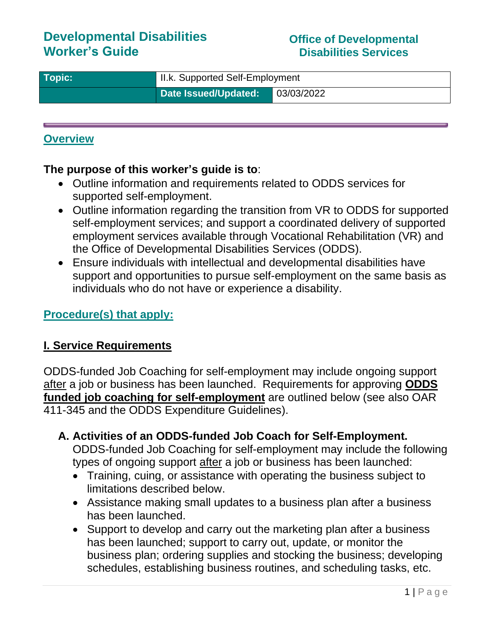# **Developmental Disabilities Worker's Guide**

#### **Office of Developmental Disabilities Services**

| $\sqrt{\phantom{a}}$ Topic: $\sqrt{\phantom{a}}$ | II.k. Supported Self-Employment |            |
|--------------------------------------------------|---------------------------------|------------|
|                                                  | Date Issued/Updated:            | 03/03/2022 |

### **Overview**

### **The purpose of this worker's guide is to**:

- Outline information and requirements related to ODDS services for supported self-employment.
- Outline information regarding the transition from VR to ODDS for supported self-employment services; and support a coordinated delivery of supported employment services available through Vocational Rehabilitation (VR) and the Office of Developmental Disabilities Services (ODDS).
- Ensure individuals with intellectual and developmental disabilities have support and opportunities to pursue self-employment on the same basis as individuals who do not have or experience a disability.

## **Procedure(s) that apply:**

### **I. Service Requirements**

ODDS-funded Job Coaching for self-employment may include ongoing support after a job or business has been launched. Requirements for approving **ODDS funded job coaching for self-employment** are outlined below (see also OAR 411-345 and the ODDS Expenditure Guidelines).

**A. Activities of an ODDS-funded Job Coach for Self-Employment.** 

ODDS-funded Job Coaching for self-employment may include the following types of ongoing support after a job or business has been launched:

- Training, cuing, or assistance with operating the business subject to limitations described below.
- Assistance making small updates to a business plan after a business has been launched.
- Support to develop and carry out the marketing plan after a business has been launched; support to carry out, update, or monitor the business plan; ordering supplies and stocking the business; developing schedules, establishing business routines, and scheduling tasks, etc.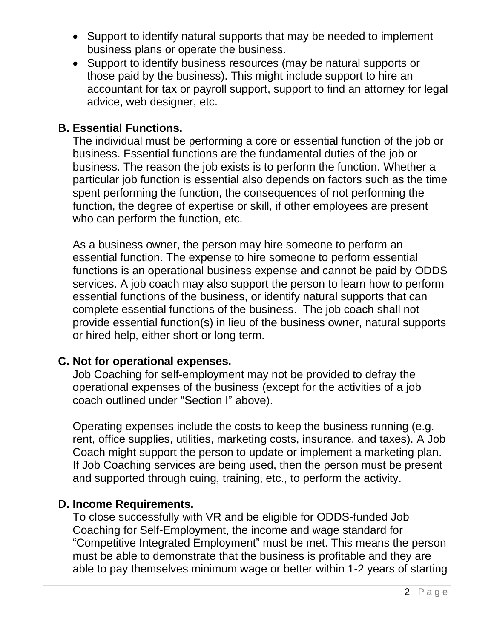- Support to identify natural supports that may be needed to implement business plans or operate the business.
- Support to identify business resources (may be natural supports or those paid by the business). This might include support to hire an accountant for tax or payroll support, support to find an attorney for legal advice, web designer, etc.

### **B. Essential Functions.**

The individual must be performing a core or essential function of the job or business. Essential functions are the fundamental duties of the job or business. The reason the job exists is to perform the function. Whether a particular job function is essential also depends on factors such as the time spent performing the function, the consequences of not performing the function, the degree of expertise or skill, if other employees are present who can perform the function, etc.

As a business owner, the person may hire someone to perform an essential function. The expense to hire someone to perform essential functions is an operational business expense and cannot be paid by ODDS services. A job coach may also support the person to learn how to perform essential functions of the business, or identify natural supports that can complete essential functions of the business. The job coach shall not provide essential function(s) in lieu of the business owner, natural supports or hired help, either short or long term.

### **C. Not for operational expenses.**

Job Coaching for self-employment may not be provided to defray the operational expenses of the business (except for the activities of a job coach outlined under "Section I" above).

Operating expenses include the costs to keep the business running (e.g. rent, office supplies, utilities, marketing costs, insurance, and taxes). A Job Coach might support the person to update or implement a marketing plan. If Job Coaching services are being used, then the person must be present and supported through cuing, training, etc., to perform the activity.

### **D. Income Requirements.**

To close successfully with VR and be eligible for ODDS-funded Job Coaching for Self-Employment, the income and wage standard for "Competitive Integrated Employment" must be met. This means the person must be able to demonstrate that the business is profitable and they are able to pay themselves minimum wage or better within 1-2 years of starting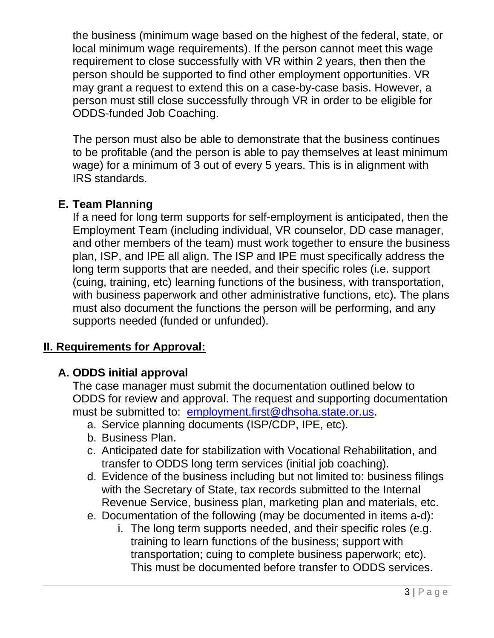the business (minimum wage based on the highest of the federal, state, or local minimum wage requirements). If the person cannot meet this wage requirement to close successfully with VR within 2 years, then then the person should be supported to find other employment opportunities. VR may grant a request to extend this on a case-by-case basis. However, a person must still close successfully through VR in order to be eligible for ODDS-funded Job Coaching.

The person must also be able to demonstrate that the business continues to be profitable (and the person is able to pay themselves at least minimum wage) for a minimum of 3 out of every 5 years. This is in alignment with IRS standards.

## **E. Team Planning**

If a need for long term supports for self-employment is anticipated, then the Employment Team (including individual, VR counselor, DD case manager, and other members of the team) must work together to ensure the business plan, ISP, and IPE all align. The ISP and IPE must specifically address the long term supports that are needed, and their specific roles (i.e. support (cuing, training, etc) learning functions of the business, with transportation, with business paperwork and other administrative functions, etc). The plans must also document the functions the person will be performing, and any supports needed (funded or unfunded).

# **II. Requirements for Approval:**

# **A. ODDS initial approval**

The case manager must submit the documentation outlined below to ODDS for review and approval. The request and supporting documentation must be submitted to: [employment.first@dhsoha.state.or.us.](mailto:employment.first@dhsoha.state.or.us)

- a. Service planning documents (ISP/CDP, IPE, etc).
- b. Business Plan.
- c. Anticipated date for stabilization with Vocational Rehabilitation, and transfer to ODDS long term services (initial job coaching).
- d. Evidence of the business including but not limited to: business filings with the Secretary of State, tax records submitted to the Internal Revenue Service, business plan, marketing plan and materials, etc.
- e. Documentation of the following (may be documented in items a-d):
	- i. The long term supports needed, and their specific roles (e.g. training to learn functions of the business; support with transportation; cuing to complete business paperwork; etc). This must be documented before transfer to ODDS services.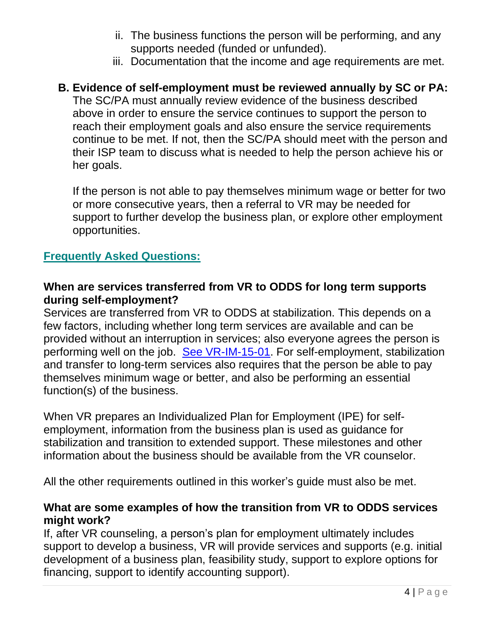- ii. The business functions the person will be performing, and any supports needed (funded or unfunded).
- iii. Documentation that the income and age requirements are met.

## **B. Evidence of self-employment must be reviewed annually by SC or PA:**

The SC/PA must annually review evidence of the business described above in order to ensure the service continues to support the person to reach their employment goals and also ensure the service requirements continue to be met. If not, then the SC/PA should meet with the person and their ISP team to discuss what is needed to help the person achieve his or her goals.

If the person is not able to pay themselves minimum wage or better for two or more consecutive years, then a referral to VR may be needed for support to further develop the business plan, or explore other employment opportunities.

#### **Frequently Asked Questions:**

### **When are services transferred from VR to ODDS for long term supports during self-employment?**

Services are transferred from VR to ODDS at stabilization. This depends on a few factors, including whether long term services are available and can be provided without an interruption in services; also everyone agrees the person is performing well on the job. [See VR-IM-15-01.](http://www.oregon.gov/dhs/employment/VR/PolicyRuleDocs/Supported%20Employment%20Job%20Stabilization.pdf) For self-employment, stabilization and transfer to long-term services also requires that the person be able to pay themselves minimum wage or better, and also be performing an essential function(s) of the business.

When VR prepares an Individualized Plan for Employment (IPE) for selfemployment, information from the business plan is used as guidance for stabilization and transition to extended support. These milestones and other information about the business should be available from the VR counselor.

All the other requirements outlined in this worker's guide must also be met.

### **What are some examples of how the transition from VR to ODDS services might work?**

If, after VR counseling, a person's plan for employment ultimately includes support to develop a business, VR will provide services and supports (e.g. initial development of a business plan, feasibility study, support to explore options for financing, support to identify accounting support).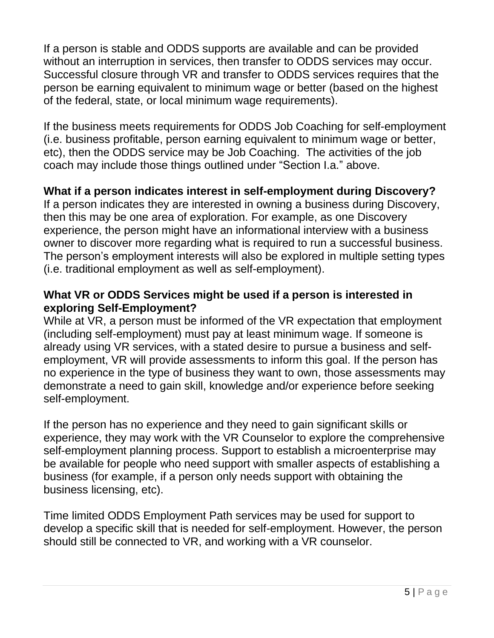If a person is stable and ODDS supports are available and can be provided without an interruption in services, then transfer to ODDS services may occur. Successful closure through VR and transfer to ODDS services requires that the person be earning equivalent to minimum wage or better (based on the highest of the federal, state, or local minimum wage requirements).

If the business meets requirements for ODDS Job Coaching for self-employment (i.e. business profitable, person earning equivalent to minimum wage or better, etc), then the ODDS service may be Job Coaching. The activities of the job coach may include those things outlined under "Section I.a." above.

## **What if a person indicates interest in self-employment during Discovery?**

If a person indicates they are interested in owning a business during Discovery, then this may be one area of exploration. For example, as one Discovery experience, the person might have an informational interview with a business owner to discover more regarding what is required to run a successful business. The person's employment interests will also be explored in multiple setting types (i.e. traditional employment as well as self-employment).

## **What VR or ODDS Services might be used if a person is interested in exploring Self-Employment?**

While at VR, a person must be informed of the VR expectation that employment (including self-employment) must pay at least minimum wage. If someone is already using VR services, with a stated desire to pursue a business and selfemployment, VR will provide assessments to inform this goal. If the person has no experience in the type of business they want to own, those assessments may demonstrate a need to gain skill, knowledge and/or experience before seeking self-employment.

If the person has no experience and they need to gain significant skills or experience, they may work with the VR Counselor to explore the comprehensive self-employment planning process. Support to establish a microenterprise may be available for people who need support with smaller aspects of establishing a business (for example, if a person only needs support with obtaining the business licensing, etc).

Time limited ODDS Employment Path services may be used for support to develop a specific skill that is needed for self-employment. However, the person should still be connected to VR, and working with a VR counselor.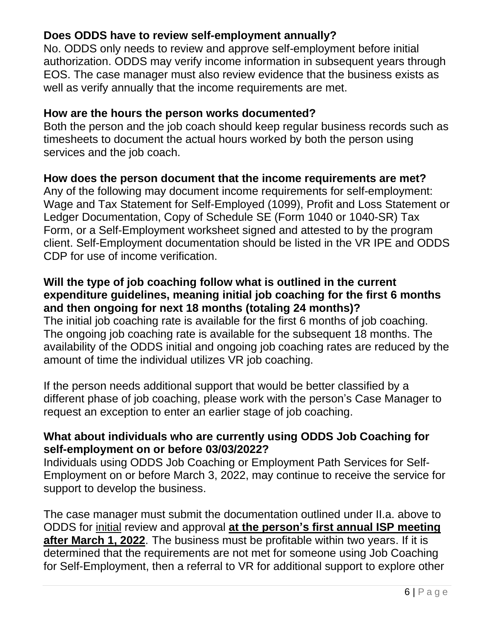## **Does ODDS have to review self-employment annually?**

No. ODDS only needs to review and approve self-employment before initial authorization. ODDS may verify income information in subsequent years through EOS. The case manager must also review evidence that the business exists as well as verify annually that the income requirements are met.

#### **How are the hours the person works documented?**

Both the person and the job coach should keep regular business records such as timesheets to document the actual hours worked by both the person using services and the job coach.

### **How does the person document that the income requirements are met?**

Any of the following may document income requirements for self-employment: Wage and Tax Statement for Self-Employed (1099), Profit and Loss Statement or Ledger Documentation, Copy of Schedule SE (Form 1040 or 1040-SR) Tax Form, or a Self-Employment worksheet signed and attested to by the program client. Self-Employment documentation should be listed in the VR IPE and ODDS CDP for use of income verification.

### **Will the type of job coaching follow what is outlined in the current expenditure guidelines, meaning initial job coaching for the first 6 months and then ongoing for next 18 months (totaling 24 months)?**

The initial job coaching rate is available for the first 6 months of job coaching. The ongoing job coaching rate is available for the subsequent 18 months. The availability of the ODDS initial and ongoing job coaching rates are reduced by the amount of time the individual utilizes VR job coaching.

If the person needs additional support that would be better classified by a different phase of job coaching, please work with the person's Case Manager to request an exception to enter an earlier stage of job coaching.

#### **What about individuals who are currently using ODDS Job Coaching for self-employment on or before 03/03/2022?**

Individuals using ODDS Job Coaching or Employment Path Services for Self-Employment on or before March 3, 2022, may continue to receive the service for support to develop the business.

The case manager must submit the documentation outlined under II.a. above to ODDS for initial review and approval **at the person's first annual ISP meeting after March 1, 2022**. The business must be profitable within two years. If it is determined that the requirements are not met for someone using Job Coaching for Self-Employment, then a referral to VR for additional support to explore other